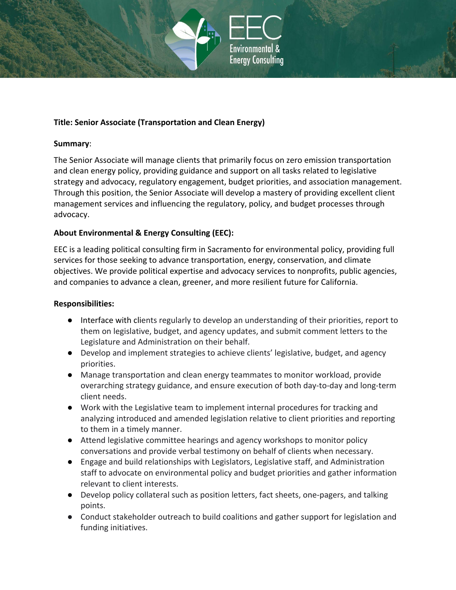

### **Title: Senior Associate (Transportation and Clean Energy)**

#### **Summary**:

The Senior Associate will manage clients that primarily focus on zero emission transportation and clean energy policy, providing guidance and support on all tasks related to legislative strategy and advocacy, regulatory engagement, budget priorities, and association management. Through this position, the Senior Associate will develop a mastery of providing excellent client management services and influencing the regulatory, policy, and budget processes through advocacy.

### **About Environmental & Energy Consulting (EEC):**

EEC is a leading political consulting firm in Sacramento for environmental policy, providing full services for those seeking to advance transportation, energy, conservation, and climate objectives. We provide political expertise and advocacy services to nonprofits, public agencies, and companies to advance a clean, greener, and more resilient future for California.

#### **Responsibilities:**

- Interface with clients regularly to develop an understanding of their priorities, report to them on legislative, budget, and agency updates, and submit comment letters to the Legislature and Administration on their behalf.
- Develop and implement strategies to achieve clients' legislative, budget, and agency priorities.
- Manage transportation and clean energy teammates to monitor workload, provide overarching strategy guidance, and ensure execution of both day-to-day and long-term client needs.
- Work with the Legislative team to implement internal procedures for tracking and analyzing introduced and amended legislation relative to client priorities and reporting to them in a timely manner.
- Attend legislative committee hearings and agency workshops to monitor policy conversations and provide verbal testimony on behalf of clients when necessary.
- Engage and build relationships with Legislators, Legislative staff, and Administration staff to advocate on environmental policy and budget priorities and gather information relevant to client interests.
- Develop policy collateral such as position letters, fact sheets, one-pagers, and talking points.
- Conduct stakeholder outreach to build coalitions and gather support for legislation and funding initiatives.